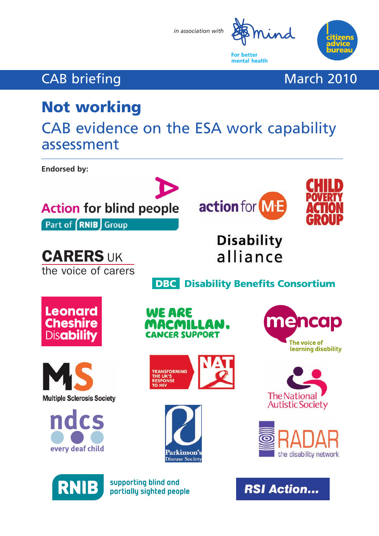*in association with*



**RSI Action...** 

**For better** mental health zen

## CAB briefing March 2010

# **Not working**

CAB evidence on the ESA work capability assessment

**Endorsed by:**



supporting blind and

partially sighted people

**RNIE**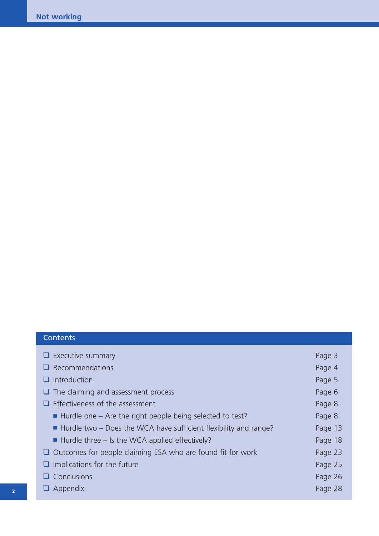### **Contents**

| $\Box$ Executive summary                                                        | Page 3  |
|---------------------------------------------------------------------------------|---------|
| $\Box$ Recommendations                                                          | Page 4  |
| $\Box$ Introduction                                                             | Page 5  |
| $\Box$ The claiming and assessment process                                      | Page 6  |
| $\Box$ Effectiveness of the assessment                                          | Page 8  |
| $\blacksquare$ Hurdle one – Are the right people being selected to test?        | Page 8  |
| $\blacksquare$ Hurdle two – Does the WCA have sufficient flexibility and range? | Page 13 |
| $\blacksquare$ Hurdle three – Is the WCA applied effectively?                   | Page 18 |
| $\Box$ Outcomes for people claiming ESA who are found fit for work              | Page 23 |
| $\Box$ Implications for the future                                              | Page 25 |
| $\Box$ Conclusions                                                              | Page 26 |
| $\Box$ Appendix                                                                 | Page 28 |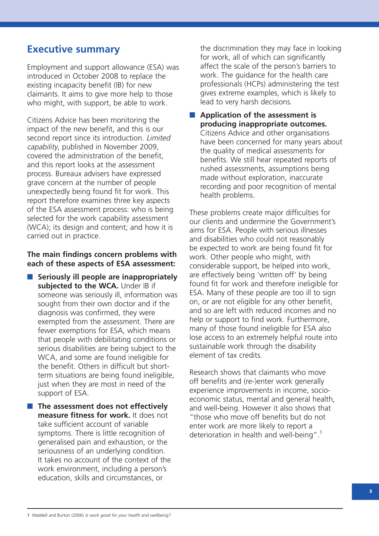### **Executive summary**

Employment and support allowance (ESA) was introduced in October 2008 to replace the existing incapacity benefit (IB) for new claimants. It aims to give more help to those who might, with support, be able to work.

Citizens Advice has been monitoring the impact of the new benefit, and this is our second report since its introduction. Limited capability, published in November 2009, covered the administration of the benefit, and this report looks at the assessment process. Bureaux advisers have expressed grave concern at the number of people unexpectedly being found fit for work. This report therefore examines three key aspects of the ESA assessment process: who is being selected for the work capability assessment (WCA); its design and content; and how it is carried out in practice.

#### **The main findings concern problems with each of these aspects of ESA assessment:**

- **Seriously ill people are inappropriately** subjected to the WCA. Under IB if someone was seriously ill, information was sought from their own doctor and if the diagnosis was confirmed, they were exempted from the assessment. There are fewer exemptions for ESA, which means that people with debilitating conditions or serious disabilities are being subject to the WCA, and some are found ineligible for the benefit. Others in difficult but shortterm situations are being found ineligible, just when they are most in need of the support of ESA.
- **The assessment does not effectively measure fitness for work.** It does not take sufficient account of variable symptoms. There is little recognition of generalised pain and exhaustion, or the seriousness of an underlying condition. It takes no account of the context of the work environment, including a person's education, skills and circumstances, or

the discrimination they may face in looking for work, all of which can significantly affect the scale of the person's barriers to work. The quidance for the health care professionals (HCPs) administering the test gives extreme examples, which is likely to lead to very harsh decisions.

■ **Application of the assessment is producing inappropriate outcomes.** Citizens Advice and other organisations have been concerned for many years about the quality of medical assessments for benefits. We still hear repeated reports of rushed assessments, assumptions being made without exploration, inaccurate recording and poor recognition of mental health problems.

These problems create major difficulties for our clients and undermine the Government's aims for ESA. People with serious illnesses and disabilities who could not reasonably be expected to work are being found fit for work. Other people who might, with considerable support, be helped into work, are effectively being 'written off' by being found fit for work and therefore ineligible for ESA. Many of these people are too ill to sign on, or are not eligible for any other benefit, and so are left with reduced incomes and no help or support to find work. Furthermore, many of those found ineligible for ESA also lose access to an extremely helpful route into sustainable work through the disability element of tax credits.

Research shows that claimants who move off benefits and (re-)enter work generally experience improvements in income, socioeconomic status, mental and general health, and well-being. However it also shows that "those who move off benefits but do not enter work are more likely to report a deterioration in health and well-being".1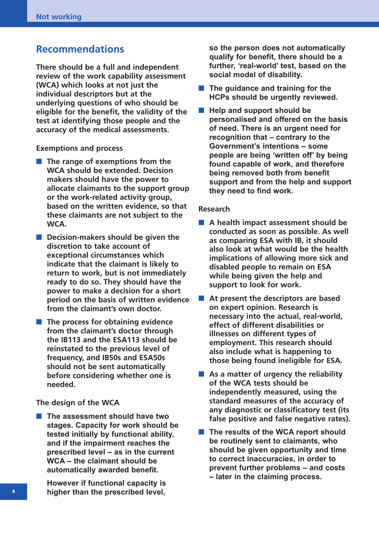### **Recommendations**

**There should be a full and independent review of the work capability assessment (WCA) which looks at not just the individual descriptors but at the underlying questions of who should be eligible for the benefit, the validity of the test at identifying those people and the accuracy of the medical assessments.** 

**Exemptions and process**

- **The range of exemptions from the WCA should be extended. Decision makers should have the power to allocate claimants to the support group or the work-related activity group, based on the written evidence, so that these claimants are not subject to the WCA.**
- **Decision-makers should be given the discretion to take account of exceptional circumstances which indicate that the claimant is likely to return to work, but is not immediately ready to do so. They should have the power to make a decision for a short period on the basis of written evidence from the claimant's own doctor.**
- **The process for obtaining evidence from the claimant's doctor through the IB113 and the ESA113 should be reinstated to the previous level of frequency, and IB50s and ESA50s should not be sent automatically before considering whether one is needed.**

**The design of the WCA**

■ **The assessment should have two stages. Capacity for work should be tested initially by functional ability, and if the impairment reaches the prescribed level – as in the current WCA – the claimant should be automatically awarded benefit.** 

**However if functional capacity is higher than the prescribed level,**

**so the person does not automatically qualify for benefit, there should be a further, 'real-world' test, based on the social model of disability.**

- **The quidance and training for the HCPs should be urgently reviewed.**
- Help and support should be **personalised and offered on the basis of need. There is an urgent need for recognition that – contrary to the Government's intentions – some people are being 'written off' by being found capable of work, and therefore being removed both from benefit support and from the help and support they need to find work.**

#### **Research**

- A health impact assessment should be **conducted as soon as possible. As well as comparing ESA with IB, it should also look at what would be the health implications of allowing more sick and disabled people to remain on ESA while being given the help and support to look for work.**
- At present the descriptors are based **on expert opinion. Research is necessary into the actual, real-world, effect of different disabilities or illnesses on different types of employment. This research should also include what is happening to those being found ineligible for ESA.**
- As a matter of urgency the reliability **of the WCA tests should be independently measured, using the standard measures of the accuracy of any diagnostic or classificatory test (its false positive and false negative rates).**
- The results of the WCA report should **be routinely sent to claimants, who should be given opportunity and time to correct inaccuracies, in order to prevent further problems – and costs – later in the claiming process.**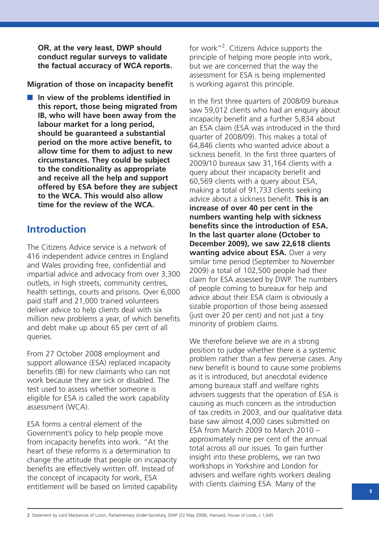**OR, at the very least, DWP should conduct regular surveys to validate the factual accuracy of WCA reports.**

**Migration of those on incapacity benefit**

■ In view of the problems identified in **this report, those being migrated from IB, who will have been away from the labour market for a long period, should be guaranteed a substantial period on the more active benefit, to allow time for them to adjust to new circumstances. They could be subject to the conditionality as appropriate and receive all the help and support offered by ESA before they are subject to the WCA. This would also allow time for the review of the WCA.** 

### **Introduction**

The Citizens Advice service is a network of 416 independent advice centres in England and Wales providing free, confidential and impartial advice and advocacy from over 3,300 outlets, in high streets, community centres, health settings, courts and prisons. Over 6,000 paid staff and 21,000 trained volunteers deliver advice to help clients deal with six million new problems a year, of which benefits and debt make up about 65 per cent of all queries.

From 27 October 2008 employment and support allowance (ESA) replaced incapacity benefits (IB) for new claimants who can not work because they are sick or disabled. The test used to assess whether someone is eligible for ESA is called the work capability assessment (WCA).

ESA forms a central element of the Government's policy to help people move from incapacity benefits into work. "At the heart of these reforms is a determination to change the attitude that people on incapacity benefits are effectively written off. Instead of the concept of incapacity for work, ESA entitlement will be based on limited capability for work"<sup>2</sup>. Citizens Advice supports the principle of helping more people into work, but we are concerned that the way the assessment for ESA is being implemented is working against this principle.

In the first three quarters of 2008/09 bureaux saw 59,012 clients who had an enquiry about incapacity benefit and a further 5,834 about an ESA claim (ESA was introduced in the third quarter of 2008/09). This makes a total of 64,846 clients who wanted advice about a sickness benefit. In the first three quarters of 2009/10 bureaux saw 31,164 clients with a query about their incapacity benefit and 60,569 clients with a query about ESA, making a total of 91,733 clients seeking advice about a sickness benefit. **This is an increase of over 40 per cent in the numbers wanting help with sickness benefits since the introduction of ESA. In the last quarter alone (October to December 2009), we saw 22,618 clients wanting advice about ESA.** Over a very similar time period (September to November 2009) a total of 102,500 people had their claim for ESA assessed by DWP. The numbers of people coming to bureaux for help and advice about their ESA claim is obviously a sizable proportion of those being assessed (just over 20 per cent) and not just a tiny minority of problem claims.

We therefore believe we are in a strong position to judge whether there is a systemic problem rather than a few perverse cases. Any new benefit is bound to cause some problems as it is introduced, but anecdotal evidence among bureaux staff and welfare rights advisers suggests that the operation of ESA is causing as much concern as the introduction of tax credits in 2003, and our qualitative data base saw almost 4,000 cases submitted on ESA from March 2009 to March 2010 – approximately nine per cent of the annual total across all our issues. To gain further insight into these problems, we ran two workshops in Yorkshire and London for advisers and welfare rights workers dealing with clients claiming ESA. Many of the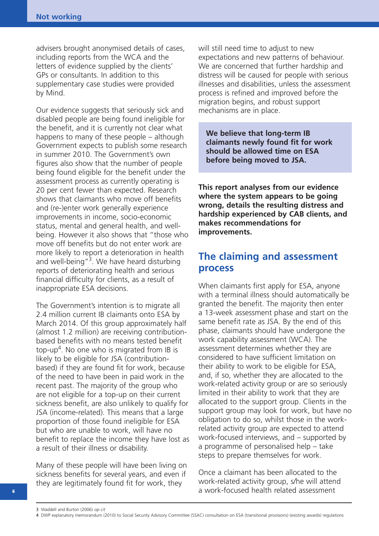advisers brought anonymised details of cases, including reports from the WCA and the letters of evidence supplied by the clients' GPs or consultants. In addition to this supplementary case studies were provided by Mind.

Our evidence suggests that seriously sick and disabled people are being found ineligible for the benefit, and it is currently not clear what happens to many of these people – although Government expects to publish some research in summer 2010. The Government's own figures also show that the number of people being found eligible for the benefit under the assessment process as currently operating is 20 per cent fewer than expected. Research shows that claimants who move off benefits and (re-)enter work generally experience improvements in income, socio-economic status, mental and general health, and wellbeing. However it also shows that "those who move off benefits but do not enter work are more likely to report a deterioration in health and well-being"<sup>3</sup>. We have heard disturbing reports of deteriorating health and serious financial difficulty for clients, as a result of inappropriate ESA decisions.

The Government's intention is to migrate all 2.4 million current IB claimants onto ESA by March 2014. Of this group approximately half (almost 1.2 million) are receiving contributionbased benefits with no means tested benefit top-up<sup>4</sup>. No one who is migrated from IB is likely to be eligible for JSA (contributionbased) if they are found fit for work, because of the need to have been in paid work in the recent past. The majority of the group who are not eligible for a top-up on their current sickness benefit, are also unlikely to qualify for JSA (income-related). This means that a large proportion of those found ineligible for ESA but who are unable to work, will have no benefit to replace the income they have lost as a result of their illness or disability.

Many of these people will have been living on sickness benefits for several years, and even if they are legitimately found fit for work, they

will still need time to adjust to new expectations and new patterns of behaviour. We are concerned that further hardship and distress will be caused for people with serious illnesses and disabilities, unless the assessment process is refined and improved before the migration begins, and robust support mechanisms are in place.

**We believe that long-term IB claimants newly found fit for work should be allowed time on ESA before being moved to JSA.**

**This report analyses from our evidence where the system appears to be going wrong, details the resulting distress and hardship experienced by CAB clients, and makes recommendations for improvements.**

### **The claiming and assessment process**

When claimants first apply for ESA, anyone with a terminal illness should automatically be granted the benefit. The majority then enter a 13-week assessment phase and start on the same benefit rate as JSA. By the end of this phase, claimants should have undergone the work capability assessment (WCA). The assessment determines whether they are considered to have sufficient limitation on their ability to work to be eligible for ESA, and, if so, whether they are allocated to the work-related activity group or are so seriously limited in their ability to work that they are allocated to the support group. Clients in the support group may look for work, but have no obligation to do so, whilst those in the workrelated activity group are expected to attend work-focused interviews, and – supported by a programme of personalised help – take steps to prepare themselves for work.

Once a claimant has been allocated to the work-related activity group, s/he will attend a work-focused health related assessment

**<sup>6</sup>**

<sup>3</sup> Waddell and Burton (2006) op cit

<sup>4</sup> DWP explanatory memorandum (2010) to Social Security Advisory Committee (SSAC) consultation on ESA (transitional provisions) (existing awards) regulations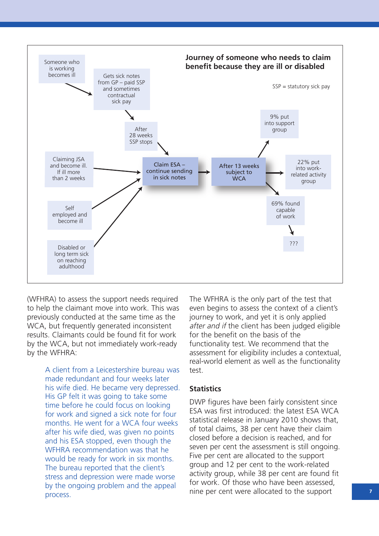

(WFHRA) to assess the support needs required to help the claimant move into work. This was previously conducted at the same time as the WCA, but frequently generated inconsistent results. Claimants could be found fit for work by the WCA, but not immediately work-ready by the WFHRA:

> A client from a Leicestershire bureau was made redundant and four weeks later his wife died. He became very depressed. His GP felt it was going to take some time before he could focus on looking for work and signed a sick note for four months. He went for a WCA four weeks after his wife died, was given no points and his ESA stopped, even though the WFHRA recommendation was that he would be ready for work in six months. The bureau reported that the client's stress and depression were made worse by the ongoing problem and the appeal process.

The WFHRA is the only part of the test that even begins to assess the context of a client's journey to work, and yet it is only applied after and if the client has been judged eligible for the benefit on the basis of the functionality test. We recommend that the assessment for eligibility includes a contextual, real-world element as well as the functionality test.

#### **Statistics**

DWP figures have been fairly consistent since ESA was first introduced: the latest ESA WCA statistical release in January 2010 shows that, of total claims, 38 per cent have their claim closed before a decision is reached, and for seven per cent the assessment is still ongoing. Five per cent are allocated to the support group and 12 per cent to the work-related activity group, while 38 per cent are found fit for work. Of those who have been assessed, nine per cent were allocated to the support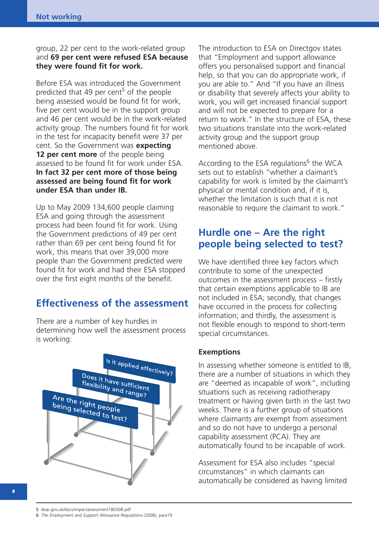group, 22 per cent to the work-related group and **69 per cent were refused ESA because they were found fit for work.**

Before ESA was introduced the Government predicted that 49 per cent<sup>5</sup> of the people being assessed would be found fit for work, five per cent would be in the support group and 46 per cent would be in the work-related activity group. The numbers found fit for work in the test for incapacity benefit were 37 per cent. So the Government was **expecting 12 per cent more** of the people being assessed to be found fit for work under ESA. **In fact 32 per cent more of those being assessed are being found fit for work under ESA than under IB.**

Up to May 2009 134,600 people claiming ESA and going through the assessment process had been found fit for work. Using the Government predictions of 49 per cent rather than 69 per cent being found fit for work, this means that over 39,000 more people than the Government predicted were found fit for work and had their ESA stopped over the first eight months of the benefit.

### **Effectiveness of the assessment**

There are a number of key hurdles in determining how well the assessment process is working:



The introduction to ESA on Directgov states that "Employment and support allowance offers you personalised support and financial help, so that you can do appropriate work, if you are able to." And "If you have an illness or disability that severely affects your ability to work, you will get increased financial support and will not be expected to prepare for a return to work." In the structure of ESA, these two situations translate into the work-related activity group and the support group mentioned above.

According to the ESA regulations<sup>6</sup> the WCA sets out to establish "whether a claimant's capability for work is limited by the claimant's physical or mental condition and, if it is, whether the limitation is such that it is not reasonable to require the claimant to work."

### **Hurdle one – Are the right people being selected to test?**

We have identified three key factors which contribute to some of the unexpected outcomes in the assessment process – firstly that certain exemptions applicable to IB are not included in ESA; secondly, that changes have occurred in the process for collecting information; and thirdly, the assessment is not flexible enough to respond to short-term special circumstances.

#### **Exemptions**

In assessing whether someone is entitled to IB, there are a number of situations in which they are "deemed as incapable of work", including situations such as receiving radiotherapy treatment or having given birth in the last two weeks. There is a further group of situations where claimants are exempt from assessment and so do not have to undergo a personal capability assessment (PCA). They are automatically found to be incapable of work.

Assessment for ESA also includes "special circumstances" in which claimants can automatically be considered as having limited

6 The Employment and Support Allowance Regulations (2008), para19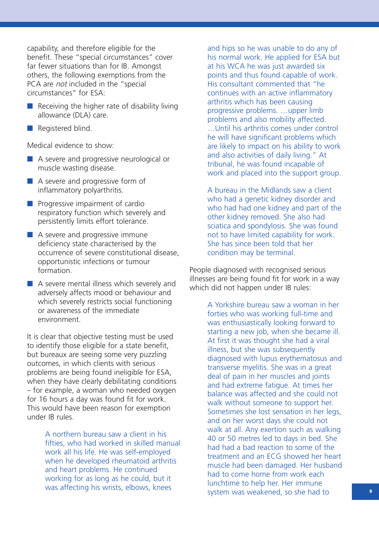capability, and therefore eligible for the benefit. These "special circumstances" cover far fewer situations than for IB. Amongst others, the following exemptions from the PCA are not included in the "special circumstances" for ESA:

- $\blacksquare$  Receiving the higher rate of disability living allowance (DLA) care.
- Registered blind.

Medical evidence to show:

- A severe and progressive neurological or muscle wasting disease.
- A severe and progressive form of inflammatory polyarthritis.
- Progressive impairment of cardio respiratory function which severely and persistently limits effort tolerance.
- A severe and progressive immune deficiency state characterised by the occurrence of severe constitutional disease, opportunistic infections or tumour formation.
- A severe mental illness which severely and adversely affects mood or behaviour and which severely restricts social functioning or awareness of the immediate environment.

It is clear that objective testing must be used to identify those eligible for a state benefit, but bureaux are seeing some very puzzling outcomes, in which clients with serious problems are being found ineligible for ESA, when they have clearly debilitating conditions – for example, a woman who needed oxygen for 16 hours a day was found fit for work. This would have been reason for exemption under IB rules.

> A northern bureau saw a client in his fifties, who had worked in skilled manual work all his life. He was self-employed when he developed rheumatoid arthritis and heart problems. He continued working for as long as he could, but it was affecting his wrists, elbows, knees

and hips so he was unable to do any of his normal work. He applied for ESA but at his WCA he was just awarded six points and thus found capable of work. His consultant commented that "he continues with an active inflammatory arthritis which has been causing progressive problems. …upper limb problems and also mobility affected. …Until his arthritis comes under control he will have significant problems which are likely to impact on his ability to work and also activities of daily living." At tribunal, he was found incapable of work and placed into the support group.

A bureau in the Midlands saw a client who had a genetic kidney disorder and who had had one kidney and part of the other kidney removed. She also had sciatica and spondylosis. She was found not to have limited capability for work. She has since been told that her condition may be terminal.

People diagnosed with recognised serious illnesses are being found fit for work in a way which did not happen under IB rules:

> A Yorkshire bureau saw a woman in her forties who was working full-time and was enthusiastically looking forward to starting a new job, when she became ill. At first it was thought she had a viral illness, but she was subsequently diagnosed with lupus erythematosus and transverse myelitis. She was in a great deal of pain in her muscles and joints and had extreme fatigue. At times her balance was affected and she could not walk without someone to support her. Sometimes she lost sensation in her legs, and on her worst days she could not walk at all. Any exertion such as walking 40 or 50 metres led to days in bed. She had had a bad reaction to some of the treatment and an ECG showed her heart muscle had been damaged. Her husband had to come home from work each lunchtime to help her. Her immune system was weakened, so she had to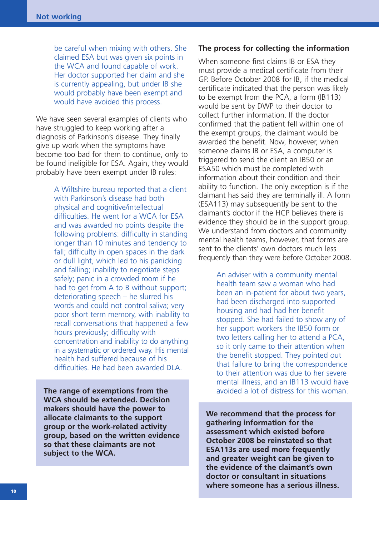be careful when mixing with others. She claimed ESA but was given six points in the WCA and found capable of work. Her doctor supported her claim and she is currently appealing, but under IB she would probably have been exempt and would have avoided this process.

We have seen several examples of clients who have struggled to keep working after a diagnosis of Parkinson's disease. They finally give up work when the symptoms have become too bad for them to continue, only to be found ineligible for ESA. Again, they would probably have been exempt under IB rules:

> A Wiltshire bureau reported that a client with Parkinson's disease had both physical and cognitive/intellectual difficulties. He went for a WCA for ESA and was awarded no points despite the following problems: difficulty in standing longer than 10 minutes and tendency to fall; difficulty in open spaces in the dark or dull light, which led to his panicking and falling; inability to negotiate steps safely; panic in a crowded room if he had to get from A to B without support; deteriorating speech – he slurred his words and could not control saliva; very poor short term memory, with inability to recall conversations that happened a few hours previously; difficulty with concentration and inability to do anything in a systematic or ordered way. His mental health had suffered because of his difficulties. He had been awarded DLA.

**The range of exemptions from the WCA should be extended. Decision makers should have the power to allocate claimants to the support group or the work-related activity group, based on the written evidence so that these claimants are not subject to the WCA.**

#### **The process for collecting the information**

When someone first claims IB or ESA they must provide a medical certificate from their GP. Before October 2008 for IB, if the medical certificate indicated that the person was likely to be exempt from the PCA, a form (IB113) would be sent by DWP to their doctor to collect further information. If the doctor confirmed that the patient fell within one of the exempt groups, the claimant would be awarded the benefit. Now, however, when someone claims IB or ESA, a computer is triggered to send the client an IB50 or an ESA50 which must be completed with information about their condition and their ability to function. The only exception is if the claimant has said they are terminally ill. A form (ESA113) may subsequently be sent to the claimant's doctor if the HCP believes there is evidence they should be in the support group. We understand from doctors and community mental health teams, however, that forms are sent to the clients' own doctors much less frequently than they were before October 2008.

> An adviser with a community mental health team saw a woman who had been an in-patient for about two years, had been discharged into supported housing and had had her benefit stopped. She had failed to show any of her support workers the IB50 form or two letters calling her to attend a PCA, so it only came to their attention when the benefit stopped. They pointed out that failure to bring the correspondence to their attention was due to her severe mental illness, and an IB113 would have avoided a lot of distress for this woman.

**We recommend that the process for gathering information for the assessment which existed before October 2008 be reinstated so that ESA113s are used more frequently and greater weight can be given to the evidence of the claimant's own doctor or consultant in situations where someone has a serious illness.**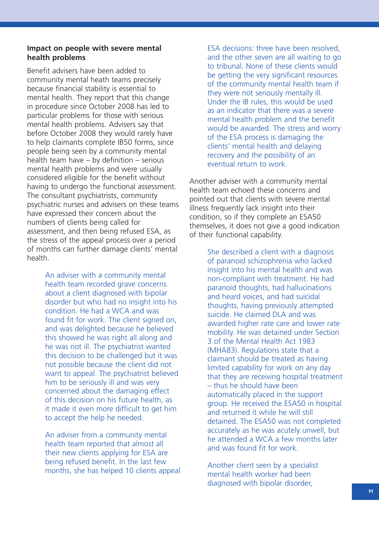#### **Impact on people with severe mental health problems**

Benefit advisers have been added to community mental heath teams precisely because financial stability is essential to mental health. They report that this change in procedure since October 2008 has led to particular problems for those with serious mental health problems. Advisers say that before October 2008 they would rarely have to help claimants complete IB50 forms, since people being seen by a community mental health team have – by definition – serious mental health problems and were usually considered eligible for the benefit without having to undergo the functional assessment. The consultant psychiatrists, community psychiatric nurses and advisers on these teams have expressed their concern about the numbers of clients being called for assessment, and then being refused ESA, as the stress of the appeal process over a period of months can further damage clients' mental health.

> An adviser with a community mental health team recorded grave concerns about a client diagnosed with bipolar disorder but who had no insight into his condition. He had a WCA and was found fit for work. The client signed on, and was delighted because he believed this showed he was right all along and he was not ill. The psychiatrist wanted this decision to be challenged but it was not possible because the client did not want to appeal. The psychiatrist believed him to be seriously ill and was very concerned about the damaging effect of this decision on his future health, as it made it even more difficult to get him to accept the help he needed.

An adviser from a community mental health team reported that almost all their new clients applying for ESA are being refused benefit. In the last few months, she has helped 10 clients appeal ESA decisions: three have been resolved, and the other seven are all waiting to go to tribunal. None of these clients would be getting the very significant resources of the community mental health team if they were not seriously mentally ill. Under the IB rules, this would be used as an indicator that there was a severe mental health problem and the benefit would be awarded. The stress and worry of the ESA process is damaging the clients' mental health and delaying recovery and the possibility of an eventual return to work.

Another adviser with a community mental health team echoed these concerns and pointed out that clients with severe mental illness frequently lack insight into their condition, so if they complete an ESA50 themselves, it does not give a good indication of their functional capability.

> She described a client with a diagnosis of paranoid schizophrenia who lacked insight into his mental health and was non-compliant with treatment. He had paranoid thoughts, had hallucinations and heard voices, and had suicidal thoughts, having previously attempted suicide. He claimed DLA and was awarded higher rate care and lower rate mobility. He was detained under Section 3 of the Mental Health Act 1983 (MHA83). Regulations state that a claimant should be treated as having limited capability for work on any day that they are receiving hospital treatment – thus he should have been automatically placed in the support group. He received the ESA50 in hospital and returned it while he will still detained. The ESA50 was not completed accurately as he was acutely unwell, but he attended a WCA a few months later and was found fit for work.

Another client seen by a specialist mental health worker had been diagnosed with bipolar disorder,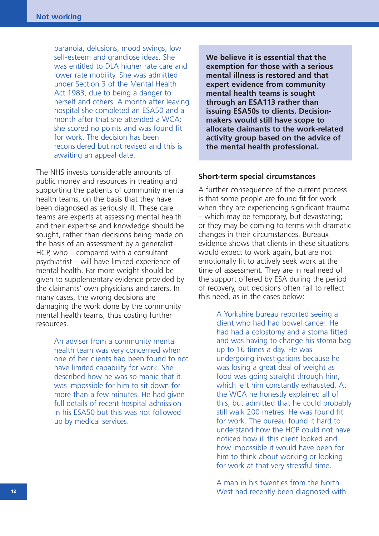paranoia, delusions, mood swings, low self-esteem and grandiose ideas. She was entitled to DLA higher rate care and lower rate mobility. She was admitted under Section 3 of the Mental Health Act 1983, due to being a danger to herself and others. A month after leaving hospital she completed an ESA50 and a month after that she attended a WCA: she scored no points and was found fit for work. The decision has been reconsidered but not revised and this is awaiting an appeal date.

The NHS invests considerable amounts of public money and resources in treating and supporting the patients of community mental health teams, on the basis that they have been diagnosed as seriously ill. These care teams are experts at assessing mental health and their expertise and knowledge should be sought, rather than decisions being made on the basis of an assessment by a generalist HCP, who – compared with a consultant psychiatrist – will have limited experience of mental health. Far more weight should be given to supplementary evidence provided by the claimants' own physicians and carers. In many cases, the wrong decisions are damaging the work done by the community mental health teams, thus costing further resources.

> An adviser from a community mental health team was very concerned when one of her clients had been found to not have limited capability for work. She described how he was so manic that it was impossible for him to sit down for more than a few minutes. He had given full details of recent hospital admission in his ESA50 but this was not followed up by medical services.

**We believe it is essential that the exemption for those with a serious mental illness is restored and that expert evidence from community mental health teams is sought through an ESA113 rather than issuing ESA50s to clients. Decisionmakers would still have scope to allocate claimants to the work-related activity group based on the advice of the mental health professional.**

#### **Short-term special circumstances**

A further consequence of the current process is that some people are found fit for work when they are experiencing significant trauma – which may be temporary, but devastating; or they may be coming to terms with dramatic changes in their circumstances. Bureaux evidence shows that clients in these situations would expect to work again, but are not emotionally fit to actively seek work at the time of assessment. They are in real need of the support offered by ESA during the period of recovery, but decisions often fail to reflect this need, as in the cases below:

> A Yorkshire bureau reported seeing a client who had had bowel cancer. He had had a colostomy and a stoma fitted and was having to change his stoma bag up to 16 times a day. He was undergoing investigations because he was losing a great deal of weight as food was going straight through him, which left him constantly exhausted. At the WCA he honestly explained all of this, but admitted that he could probably still walk 200 metres. He was found fit for work. The bureau found it hard to understand how the HCP could not have noticed how ill this client looked and how impossible it would have been for him to think about working or looking for work at that very stressful time.

A man in his twenties from the North West had recently been diagnosed with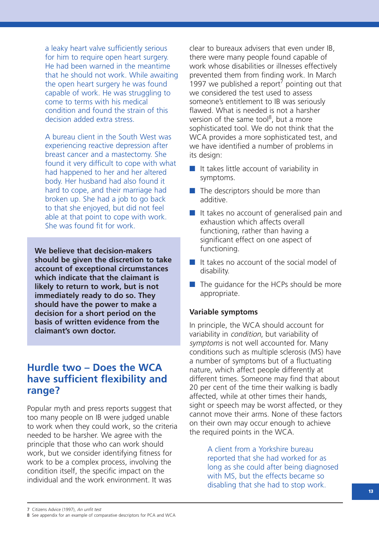a leaky heart valve sufficiently serious for him to require open heart surgery. He had been warned in the meantime that he should not work. While awaiting the open heart surgery he was found capable of work. He was struggling to come to terms with his medical condition and found the strain of this decision added extra stress.

A bureau client in the South West was experiencing reactive depression after breast cancer and a mastectomy. She found it very difficult to cope with what had happened to her and her altered body. Her husband had also found it hard to cope, and their marriage had broken up. She had a job to go back to that she enjoyed, but did not feel able at that point to cope with work. She was found fit for work.

**We believe that decision-makers should be given the discretion to take account of exceptional circumstances which indicate that the claimant is likely to return to work, but is not immediately ready to do so. They should have the power to make a decision for a short period on the basis of written evidence from the claimant's own doctor.** 

### **Hurdle two – Does the WCA have sufficient flexibility and range?**

Popular myth and press reports suggest that too many people on IB were judged unable to work when they could work, so the criteria needed to be harsher. We agree with the principle that those who can work should work, but we consider identifying fitness for work to be a complex process, involving the condition itself, the specific impact on the individual and the work environment. It was

clear to bureaux advisers that even under IB, there were many people found capable of work whose disabilities or illnesses effectively prevented them from finding work. In March 1997 we published a report<sup>7</sup> pointing out that we considered the test used to assess someone's entitlement to IB was seriously flawed. What is needed is not a harsher version of the same tool<sup>8</sup>, but a more sophisticated tool. We do not think that the WCA provides a more sophisticated test, and we have identified a number of problems in its design:

- It takes little account of variability in symptoms.
- The descriptors should be more than additive.
- It takes no account of generalised pain and exhaustion which affects overall functioning, rather than having a significant effect on one aspect of functioning.
- It takes no account of the social model of disability.
- The quidance for the HCPs should be more appropriate.

#### **Variable symptoms**

In principle, the WCA should account for variability in condition, but variability of symptoms is not well accounted for. Many conditions such as multiple sclerosis (MS) have a number of symptoms but of a fluctuating nature, which affect people differently at different times. Someone may find that about 20 per cent of the time their walking is badly affected, while at other times their hands, sight or speech may be worst affected, or they cannot move their arms. None of these factors on their own may occur enough to achieve the required points in the WCA.

> A client from a Yorkshire bureau reported that she had worked for as long as she could after being diagnosed with MS, but the effects became so disabling that she had to stop work.

<sup>7</sup> Citizens Advice (1997), An unfit test

<sup>8</sup> See appendix for an example of comparative descriptors for PCA and WCA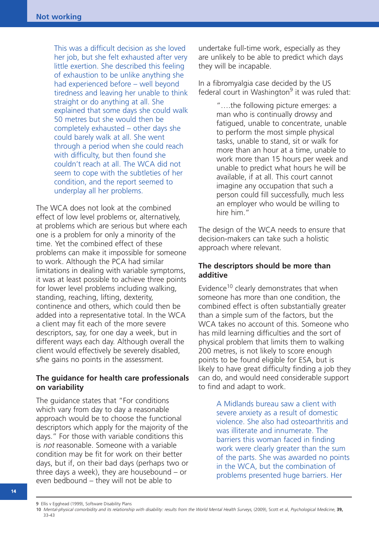This was a difficult decision as she loved her job, but she felt exhausted after very little exertion. She described this feeling of exhaustion to be unlike anything she had experienced before – well beyond tiredness and leaving her unable to think straight or do anything at all. She explained that some days she could walk 50 metres but she would then be completely exhausted – other days she could barely walk at all. She went through a period when she could reach with difficulty, but then found she couldn't reach at all. The WCA did not seem to cope with the subtleties of her condition, and the report seemed to underplay all her problems.

The WCA does not look at the combined effect of low level problems or, alternatively, at problems which are serious but where each one is a problem for only a minority of the time. Yet the combined effect of these problems can make it impossible for someone to work. Although the PCA had similar limitations in dealing with variable symptoms, it was at least possible to achieve three points for lower level problems including walking, standing, reaching, lifting, dexterity, continence and others, which could then be added into a representative total. In the WCA a client may fit each of the more severe descriptors, say, for one day a week, but in different ways each day. Although overall the client would effectively be severely disabled, s/he gains no points in the assessment.

#### **The guidance for health care professionals on variability**

The guidance states that "For conditions which vary from day to day a reasonable approach would be to choose the functional descriptors which apply for the majority of the days." For those with variable conditions this is not reasonable. Someone with a variable condition may be fit for work on their better days, but if, on their bad days (perhaps two or three days a week), they are housebound – or even bedbound – they will not be able to

undertake full-time work, especially as they are unlikely to be able to predict which days they will be incapable.

In a fibromyalgia case decided by the US federal court in Washington $9$  it was ruled that:

> "….the following picture emerges: a man who is continually drowsy and fatigued, unable to concentrate, unable to perform the most simple physical tasks, unable to stand, sit or walk for more than an hour at a time, unable to work more than 15 hours per week and unable to predict what hours he will be available, if at all. This court cannot imagine any occupation that such a person could fill successfully, much less an employer who would be willing to hire him."

The design of the WCA needs to ensure that decision-makers can take such a holistic approach where relevant.

#### **The descriptors should be more than additive**

Evidence<sup>10</sup> clearly demonstrates that when someone has more than one condition, the combined effect is often substantially greater than a simple sum of the factors, but the WCA takes no account of this. Someone who has mild learning difficulties and the sort of physical problem that limits them to walking 200 metres, is not likely to score enough points to be found eligible for ESA, but is likely to have great difficulty finding a job they can do, and would need considerable support to find and adapt to work.

> A Midlands bureau saw a client with severe anxiety as a result of domestic violence. She also had osteoarthritis and was illiterate and innumerate. The barriers this woman faced in finding work were clearly greater than the sum of the parts. She was awarded no points in the WCA, but the combination of problems presented huge barriers. Her

<sup>9</sup> Ellis v Egghead (1999), Software Disability Plans

<sup>10</sup> Mental-physical comorbidity and its relationship with disability: results from the World Mental Health Surveys, (2009), Scott et al, Psychological Medicine, **39,** 33-43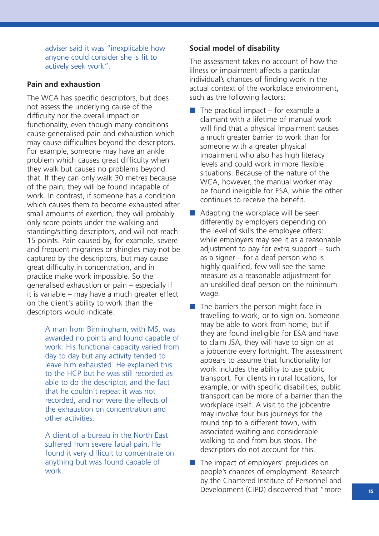adviser said it was "inexplicable how anyone could consider she is fit to actively seek work".

#### **Pain and exhaustion**

The WCA has specific descriptors, but does not assess the underlying cause of the difficulty nor the overall impact on functionality, even though many conditions cause generalised pain and exhaustion which may cause difficulties beyond the descriptors. For example, someone may have an ankle problem which causes great difficulty when they walk but causes no problems beyond that. If they can only walk 30 metres because of the pain, they will be found incapable of work. In contrast, if someone has a condition which causes them to become exhausted after small amounts of exertion, they will probably only score points under the walking and standing/sitting descriptors, and will not reach 15 points. Pain caused by, for example, severe and frequent migraines or shingles may not be captured by the descriptors, but may cause great difficulty in concentration, and in practice make work impossible. So the generalised exhaustion or pain – especially if it is variable – may have a much greater effect on the client's ability to work than the descriptors would indicate.

> A man from Birmingham, with MS, was awarded no points and found capable of work. His functional capacity varied from day to day but any activity tended to leave him exhausted. He explained this to the HCP but he was still recorded as able to do the descriptor, and the fact that he couldn't repeat it was not recorded, and nor were the effects of the exhaustion on concentration and other activities.

A client of a bureau in the North East suffered from severe facial pain. He found it very difficult to concentrate on anything but was found capable of work.

#### **Social model of disability**

The assessment takes no account of how the illness or impairment affects a particular individual's chances of finding work in the actual context of the workplace environment, such as the following factors:

- $\blacksquare$  The practical impact for example a claimant with a lifetime of manual work will find that a physical impairment causes a much greater barrier to work than for someone with a greater physical impairment who also has high literacy levels and could work in more flexible situations. Because of the nature of the WCA, however, the manual worker may be found ineligible for ESA, while the other continues to receive the benefit.
- $\blacksquare$  Adapting the workplace will be seen differently by employers depending on the level of skills the employee offers: while employers may see it as a reasonable adjustment to pay for extra support – such as a signer  $-$  for a deaf person who is highly qualified, few will see the same measure as a reasonable adjustment for an unskilled deaf person on the minimum wage.
- The barriers the person might face in travelling to work, or to sign on. Someone may be able to work from home, but if they are found ineligible for ESA and have to claim JSA, they will have to sign on at a jobcentre every fortnight. The assessment appears to assume that functionality for work includes the ability to use public transport. For clients in rural locations, for example, or with specific disabilities, public transport can be more of a barrier than the workplace itself. A visit to the jobcentre may involve four bus journeys for the round trip to a different town, with associated waiting and considerable walking to and from bus stops. The descriptors do not account for this.
- The impact of employers' prejudices on people's chances of employment. Research by the Chartered Institute of Personnel and Development (CIPD) discovered that "more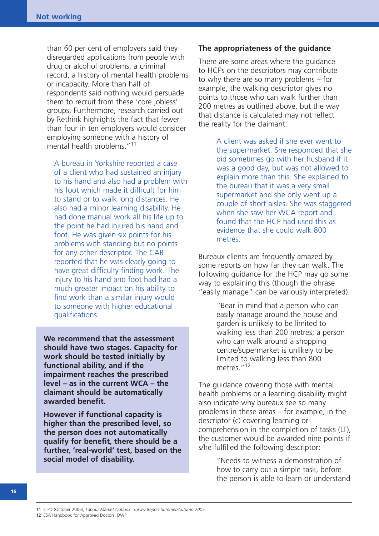than 60 per cent of employers said they disregarded applications from people with drug or alcohol problems, a criminal record, a history of mental health problems or incapacity. More than half of respondents said nothing would persuade them to recruit from these 'core jobless' groups. Furthermore, research carried out by Rethink highlights the fact that fewer than four in ten employers would consider employing someone with a history of mental health problems."<sup>11</sup>

A bureau in Yorkshire reported a case of a client who had sustained an injury to his hand and also had a problem with his foot which made it difficult for him to stand or to walk long distances. He also had a minor learning disability. He had done manual work all his life up to the point he had injured his hand and foot. He was given six points for his problems with standing but no points for any other descriptor. The CAB reported that he was clearly going to have great difficulty finding work. The injury to his hand and foot had had a much greater impact on his ability to find work than a similar injury would to someone with higher educational qualifications.

**We recommend that the assessment should have two stages. Capacity for work should be tested initially by functional ability, and if the impairment reaches the prescribed level – as in the current WCA – the claimant should be automatically awarded benefit.** 

**However if functional capacity is higher than the prescribed level, so the person does not automatically qualify for benefit, there should be a further, 'real-world' test, based on the social model of disability.**

#### **The appropriateness of the guidance**

There are some areas where the guidance to HCPs on the descriptors may contribute to why there are so many problems – for example, the walking descriptor gives no points to those who can walk further than 200 metres as outlined above, but the way that distance is calculated may not reflect the reality for the claimant:

> A client was asked if she ever went to the supermarket. She responded that she did sometimes go with her husband if it was a good day, but was not allowed to explain more than this. She explained to the bureau that it was a very small supermarket and she only went up a couple of short aisles. She was staggered when she saw her WCA report and found that the HCP had used this as evidence that she could walk 800 metres.

Bureaux clients are frequently amazed by some reports on how far they can walk. The following guidance for the HCP may go some way to explaining this (though the phrase "easily manage" can be variously interpreted).

> "Bear in mind that a person who can easily manage around the house and garden is unlikely to be limited to walking less than 200 metres; a person who can walk around a shopping centre/supermarket is unlikely to be limited to walking less than 800 metres<sup>"12</sup>

The guidance covering those with mental health problems or a learning disability might also indicate why bureaux see so many problems in these areas – for example, in the descriptor (c) covering learning or comprehension in the completion of tasks (LT), the customer would be awarded nine points if s/he fulfilled the following descriptor:

> "Needs to witness a demonstration of how to carry out a simple task, before the person is able to learn or understand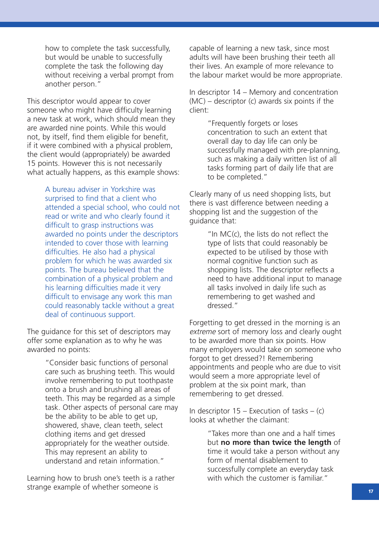how to complete the task successfully, but would be unable to successfully complete the task the following day without receiving a verbal prompt from another person."

This descriptor would appear to cover someone who might have difficulty learning a new task at work, which should mean they are awarded nine points. While this would not, by itself, find them eligible for benefit, if it were combined with a physical problem, the client would (appropriately) be awarded 15 points. However this is not necessarily what actually happens, as this example shows:

> A bureau adviser in Yorkshire was surprised to find that a client who attended a special school, who could not read or write and who clearly found it difficult to grasp instructions was awarded no points under the descriptors intended to cover those with learning difficulties. He also had a physical problem for which he was awarded six points. The bureau believed that the combination of a physical problem and his learning difficulties made it very difficult to envisage any work this man could reasonably tackle without a great deal of continuous support.

The guidance for this set of descriptors may offer some explanation as to why he was awarded no points:

> "Consider basic functions of personal care such as brushing teeth. This would involve remembering to put toothpaste onto a brush and brushing all areas of teeth. This may be regarded as a simple task. Other aspects of personal care may be the ability to be able to get up, showered, shave, clean teeth, select clothing items and get dressed appropriately for the weather outside. This may represent an ability to understand and retain information."

Learning how to brush one's teeth is a rather strange example of whether someone is

capable of learning a new task, since most adults will have been brushing their teeth all their lives. An example of more relevance to the labour market would be more appropriate.

In descriptor 14 – Memory and concentration (MC) – descriptor (c) awards six points if the client:

> "Frequently forgets or loses concentration to such an extent that overall day to day life can only be successfully managed with pre-planning, such as making a daily written list of all tasks forming part of daily life that are to be completed."

Clearly many of us need shopping lists, but there is vast difference between needing a shopping list and the suggestion of the guidance that:

> "In MC(c), the lists do not reflect the type of lists that could reasonably be expected to be utilised by those with normal cognitive function such as shopping lists. The descriptor reflects a need to have additional input to manage all tasks involved in daily life such as remembering to get washed and dressed."

Forgetting to get dressed in the morning is an extreme sort of memory loss and clearly ought to be awarded more than six points. How many employers would take on someone who forgot to get dressed?! Remembering appointments and people who are due to visit would seem a more appropriate level of problem at the six point mark, than remembering to get dressed.

In descriptor  $15$  – Execution of tasks – (c) looks at whether the claimant:

> "Takes more than one and a half times but **no more than twice the length** of time it would take a person without any form of mental disablement to successfully complete an everyday task with which the customer is familiar."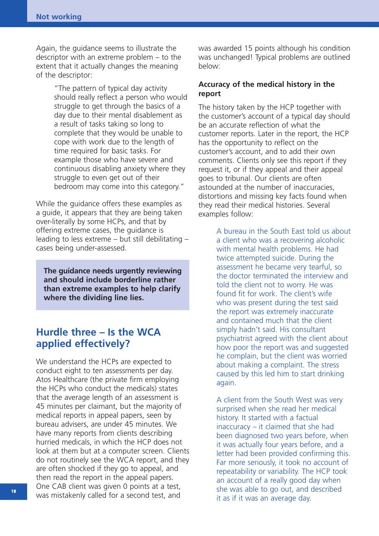Again, the guidance seems to illustrate the descriptor with an extreme problem – to the extent that it actually changes the meaning of the descriptor:

> "The pattern of typical day activity should really reflect a person who would struggle to get through the basics of a day due to their mental disablement as a result of tasks taking so long to complete that they would be unable to cope with work due to the length of time required for basic tasks. For example those who have severe and continuous disabling anxiety where they struggle to even get out of their bedroom may come into this category."

While the guidance offers these examples as a guide, it appears that they are being taken over-literally by some HCPs, and that by offering extreme cases, the guidance is leading to less extreme – but still debilitating – cases being under-assessed.

**The guidance needs urgently reviewing and should include borderline rather than extreme examples to help clarify where the dividing line lies.**

### **Hurdle three – Is the WCA applied effectively?**

We understand the HCPs are expected to conduct eight to ten assessments per day. Atos Healthcare (the private firm employing the HCPs who conduct the medicals) states that the average length of an assessment is 45 minutes per claimant, but the majority of medical reports in appeal papers, seen by bureau advisers, are under 45 minutes. We have many reports from clients describing hurried medicals, in which the HCP does not look at them but at a computer screen. Clients do not routinely see the WCA report, and they are often shocked if they go to appeal, and then read the report in the appeal papers. One CAB client was given 0 points at a test, was mistakenly called for a second test, and

was awarded 15 points although his condition was unchanged! Typical problems are outlined below:

#### **Accuracy of the medical history in the report**

The history taken by the HCP together with the customer's account of a typical day should be an accurate reflection of what the customer reports. Later in the report, the HCP has the opportunity to reflect on the customer's account, and to add their own comments. Clients only see this report if they request it, or if they appeal and their appeal goes to tribunal. Our clients are often astounded at the number of inaccuracies, distortions and missing key facts found when they read their medical histories. Several examples follow:

> A bureau in the South East told us about a client who was a recovering alcoholic with mental health problems. He had twice attempted suicide. During the assessment he became very tearful, so the doctor terminated the interview and told the client not to worry. He was found fit for work. The client's wife who was present during the test said the report was extremely inaccurate and contained much that the client simply hadn't said. His consultant psychiatrist agreed with the client about how poor the report was and suggested he complain, but the client was worried about making a complaint. The stress caused by this led him to start drinking again.

> A client from the South West was very surprised when she read her medical history. It started with a factual inaccuracy – it claimed that she had been diagnosed two years before, when it was actually four years before, and a letter had been provided confirming this. Far more seriously, it took no account of repeatability or variability. The HCP took an account of a really good day when she was able to go out, and described it as if it was an average day.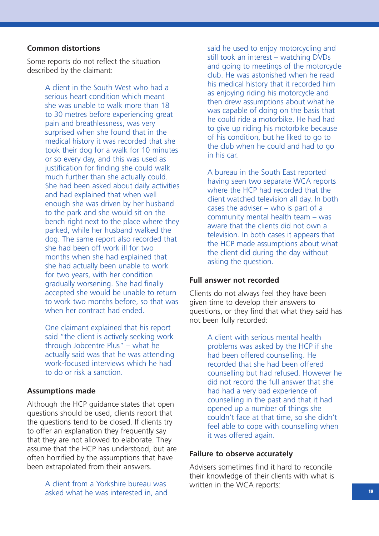#### **Common distortions**

Some reports do not reflect the situation described by the claimant:

> A client in the South West who had a serious heart condition which meant she was unable to walk more than 18 to 30 metres before experiencing great pain and breathlessness, was very surprised when she found that in the medical history it was recorded that she took their dog for a walk for 10 minutes or so every day, and this was used as justification for finding she could walk much further than she actually could. She had been asked about daily activities and had explained that when well enough she was driven by her husband to the park and she would sit on the bench right next to the place where they parked, while her husband walked the dog. The same report also recorded that she had been off work ill for two months when she had explained that she had actually been unable to work for two years, with her condition gradually worsening. She had finally accepted she would be unable to return to work two months before, so that was when her contract had ended.

One claimant explained that his report said "the client is actively seeking work through Jobcentre Plus" – what he actually said was that he was attending work-focused interviews which he had to do or risk a sanction.

#### **Assumptions made**

Although the HCP guidance states that open questions should be used, clients report that the questions tend to be closed. If clients try to offer an explanation they frequently say that they are not allowed to elaborate. They assume that the HCP has understood, but are often horrified by the assumptions that have been extrapolated from their answers.

> A client from a Yorkshire bureau was asked what he was interested in, and

said he used to enjoy motorcycling and still took an interest – watching DVDs and going to meetings of the motorcycle club. He was astonished when he read his medical history that it recorded him as enjoying riding his motorcycle and then drew assumptions about what he was capable of doing on the basis that he could ride a motorbike. He had had to give up riding his motorbike because of his condition, but he liked to go to the club when he could and had to go in his car.

A bureau in the South East reported having seen two separate WCA reports where the HCP had recorded that the client watched television all day. In both cases the adviser – who is part of a community mental health team – was aware that the clients did not own a television. In both cases it appears that the HCP made assumptions about what the client did during the day without asking the question.

#### **Full answer not recorded**

Clients do not always feel they have been given time to develop their answers to questions, or they find that what they said has not been fully recorded:

> A client with serious mental health problems was asked by the HCP if she had been offered counselling. He recorded that she had been offered counselling but had refused. However he did not record the full answer that she had had a very bad experience of counselling in the past and that it had opened up a number of things she couldn't face at that time, so she didn't feel able to cope with counselling when it was offered again.

#### **Failure to observe accurately**

Advisers sometimes find it hard to reconcile their knowledge of their clients with what is written in the WCA reports: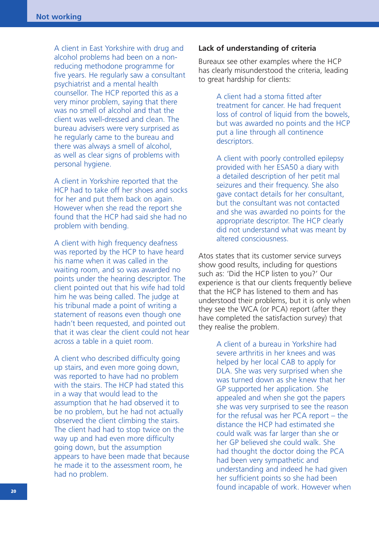A client in East Yorkshire with drug and alcohol problems had been on a nonreducing methodone programme for five years. He regularly saw a consultant psychiatrist and a mental health counsellor. The HCP reported this as a very minor problem, saying that there was no smell of alcohol and that the client was well-dressed and clean. The bureau advisers were very surprised as he regularly came to the bureau and there was always a smell of alcohol, as well as clear signs of problems with personal hygiene.

A client in Yorkshire reported that the HCP had to take off her shoes and socks for her and put them back on again. However when she read the report she found that the HCP had said she had no problem with bending.

A client with high frequency deafness was reported by the HCP to have heard his name when it was called in the waiting room, and so was awarded no points under the hearing descriptor. The client pointed out that his wife had told him he was being called. The judge at his tribunal made a point of writing a statement of reasons even though one hadn't been requested, and pointed out that it was clear the client could not hear across a table in a quiet room.

A client who described difficulty going up stairs, and even more going down, was reported to have had no problem with the stairs. The HCP had stated this in a way that would lead to the assumption that he had observed it to be no problem, but he had not actually observed the client climbing the stairs. The client had had to stop twice on the way up and had even more difficulty going down, but the assumption appears to have been made that because he made it to the assessment room, he had no problem.

#### **Lack of understanding of criteria**

Bureaux see other examples where the HCP has clearly misunderstood the criteria, leading to great hardship for clients:

> A client had a stoma fitted after treatment for cancer. He had frequent loss of control of liquid from the bowels, but was awarded no points and the HCP put a line through all continence descriptors.

A client with poorly controlled epilepsy provided with her ESA50 a diary with a detailed description of her petit mal seizures and their frequency. She also gave contact details for her consultant, but the consultant was not contacted and she was awarded no points for the appropriate descriptor. The HCP clearly did not understand what was meant by altered consciousness.

Atos states that its customer service surveys show good results, including for questions such as: 'Did the HCP listen to you?' Our experience is that our clients frequently believe that the HCP has listened to them and has understood their problems, but it is only when they see the WCA (or PCA) report (after they have completed the satisfaction survey) that they realise the problem.

> A client of a bureau in Yorkshire had severe arthritis in her knees and was helped by her local CAB to apply for DLA. She was very surprised when she was turned down as she knew that her GP supported her application. She appealed and when she got the papers she was very surprised to see the reason for the refusal was her PCA report – the distance the HCP had estimated she could walk was far larger than she or her GP believed she could walk. She had thought the doctor doing the PCA had been very sympathetic and understanding and indeed he had given her sufficient points so she had been found incapable of work. However when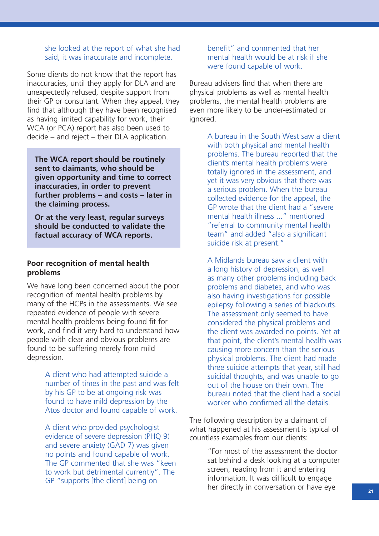#### she looked at the report of what she had said, it was inaccurate and incomplete.

Some clients do not know that the report has inaccuracies, until they apply for DLA and are unexpectedly refused, despite support from their GP or consultant. When they appeal, they find that although they have been recognised as having limited capability for work, their WCA (or PCA) report has also been used to decide – and reject – their DLA application.

**The WCA report should be routinely sent to claimants, who should be given opportunity and time to correct inaccuracies, in order to prevent further problems – and costs – later in the claiming process.**

**Or at the very least, regular surveys should be conducted to validate the factual accuracy of WCA reports.**

#### **Poor recognition of mental health problems**

We have long been concerned about the poor recognition of mental health problems by many of the HCPs in the assessments. We see repeated evidence of people with severe mental health problems being found fit for work, and find it very hard to understand how people with clear and obvious problems are found to be suffering merely from mild depression.

> A client who had attempted suicide a number of times in the past and was felt by his GP to be at ongoing risk was found to have mild depression by the Atos doctor and found capable of work.

A client who provided psychologist evidence of severe depression (PHQ 9) and severe anxiety (GAD 7) was given no points and found capable of work. The GP commented that she was "keen to work but detrimental currently". The GP "supports [the client] being on

#### benefit" and commented that her mental health would be at risk if she were found capable of work.

Bureau advisers find that when there are physical problems as well as mental health problems, the mental health problems are even more likely to be under-estimated or ignored.

> A bureau in the South West saw a client with both physical and mental health problems. The bureau reported that the client's mental health problems were totally ignored in the assessment, and yet it was very obvious that there was a serious problem. When the bureau collected evidence for the appeal, the GP wrote that the client had a "severe mental health illness ..." mentioned "referral to community mental health team" and added "also a significant suicide risk at present."

A Midlands bureau saw a client with a long history of depression, as well as many other problems including back problems and diabetes, and who was also having investigations for possible epilepsy following a series of blackouts. The assessment only seemed to have considered the physical problems and the client was awarded no points. Yet at that point, the client's mental health was causing more concern than the serious physical problems. The client had made three suicide attempts that year, still had suicidal thoughts, and was unable to go out of the house on their own. The bureau noted that the client had a social worker who confirmed all the details.

The following description by a claimant of what happened at his assessment is typical of countless examples from our clients:

> "For most of the assessment the doctor sat behind a desk looking at a computer screen, reading from it and entering information. It was difficult to engage her directly in conversation or have eye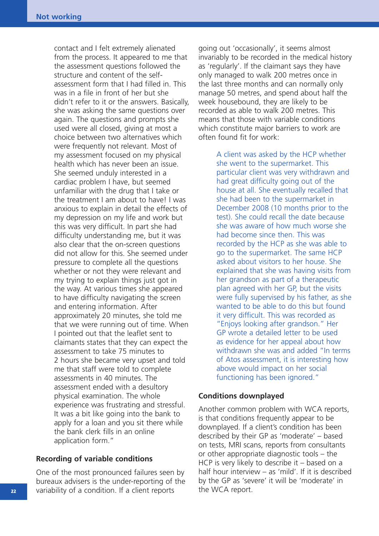contact and I felt extremely alienated from the process. It appeared to me that the assessment questions followed the structure and content of the selfassessment form that I had filled in. This was in a file in front of her but she didn't refer to it or the answers. Basically, she was asking the same questions over again. The questions and prompts she used were all closed, giving at most a choice between two alternatives which were frequently not relevant. Most of my assessment focused on my physical health which has never been an issue. She seemed unduly interested in a cardiac problem I have, but seemed unfamiliar with the drug that I take or the treatment I am about to have! I was anxious to explain in detail the effects of my depression on my life and work but this was very difficult. In part she had difficulty understanding me, but it was also clear that the on-screen questions did not allow for this. She seemed under pressure to complete all the questions whether or not they were relevant and my trying to explain things just got in the way. At various times she appeared to have difficulty navigating the screen and entering information. After approximately 20 minutes, she told me that we were running out of time. When I pointed out that the leaflet sent to claimants states that they can expect the assessment to take 75 minutes to 2 hours she became very upset and told me that staff were told to complete assessments in 40 minutes. The assessment ended with a desultory physical examination. The whole experience was frustrating and stressful. It was a bit like going into the bank to apply for a loan and you sit there while the bank clerk fills in an online application form."

#### **Recording of variable conditions**

One of the most pronounced failures seen by bureaux advisers is the under-reporting of the variability of a condition. If a client reports

going out 'occasionally', it seems almost invariably to be recorded in the medical history as 'regularly'. If the claimant says they have only managed to walk 200 metres once in the last three months and can normally only manage 50 metres, and spend about half the week housebound, they are likely to be recorded as able to walk 200 metres. This means that those with variable conditions which constitute major barriers to work are often found fit for work:

> A client was asked by the HCP whether she went to the supermarket. This particular client was very withdrawn and had great difficulty going out of the house at all. She eventually recalled that she had been to the supermarket in December 2008 (10 months prior to the test). She could recall the date because she was aware of how much worse she had become since then. This was recorded by the HCP as she was able to go to the supermarket. The same HCP asked about visitors to her house. She explained that she was having visits from her grandson as part of a therapeutic plan agreed with her GP, but the visits were fully supervised by his father, as she wanted to be able to do this but found it very difficult. This was recorded as "Enjoys looking after grandson." Her GP wrote a detailed letter to be used as evidence for her appeal about how withdrawn she was and added "In terms of Atos assessment, it is interesting how above would impact on her social functioning has been ignored."

#### **Conditions downplayed**

Another common problem with WCA reports, is that conditions frequently appear to be downplayed. If a client's condition has been described by their GP as 'moderate' – based on tests, MRI scans, reports from consultants or other appropriate diagnostic tools – the HCP is very likely to describe it – based on a half hour interview – as 'mild'. If it is described. by the GP as 'severe' it will be 'moderate' in the WCA report.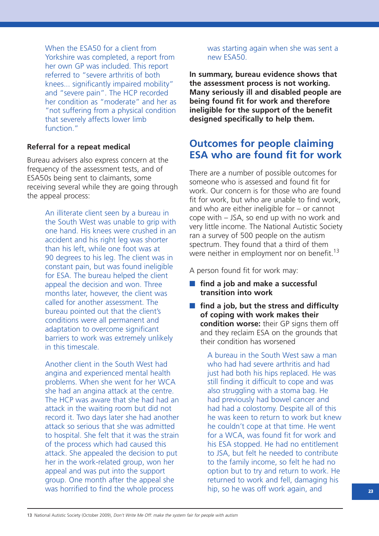When the ESA50 for a client from Yorkshire was completed, a report from her own GP was included. This report referred to "severe arthritis of both knees... significantly impaired mobility" and "severe pain". The HCP recorded her condition as "moderate" and her as "not suffering from a physical condition that severely affects lower limb function."

#### **Referral for a repeat medical**

Bureau advisers also express concern at the frequency of the assessment tests, and of ESA50s being sent to claimants, some receiving several while they are going through the appeal process:

> An illiterate client seen by a bureau in the South West was unable to grip with one hand. His knees were crushed in an accident and his right leg was shorter than his left, while one foot was at 90 degrees to his leg. The client was in constant pain, but was found ineligible for ESA. The bureau helped the client appeal the decision and won. Three months later, however, the client was called for another assessment. The bureau pointed out that the client's conditions were all permanent and adaptation to overcome significant barriers to work was extremely unlikely in this timescale.

Another client in the South West had angina and experienced mental health problems. When she went for her WCA she had an angina attack at the centre. The HCP was aware that she had had an attack in the waiting room but did not record it. Two days later she had another attack so serious that she was admitted to hospital. She felt that it was the strain of the process which had caused this attack. She appealed the decision to put her in the work-related group, won her appeal and was put into the support group. One month after the appeal she was horrified to find the whole process

was starting again when she was sent a new ESA50.

**In summary, bureau evidence shows that the assessment process is not working. Many seriously ill and disabled people are being found fit for work and therefore ineligible for the support of the benefit designed specifically to help them.** 

### **Outcomes for people claiming ESA who are found fit for work**

There are a number of possible outcomes for someone who is assessed and found fit for work. Our concern is for those who are found fit for work, but who are unable to find work, and who are either ineligible for – or cannot cope with – JSA, so end up with no work and very little income. The National Autistic Society ran a survey of 500 people on the autism spectrum. They found that a third of them were neither in employment nor on benefit.<sup>13</sup>

A person found fit for work may:

- **find a job and make a successful transition into work**
- **find a job, but the stress and difficulty of coping with work makes their condition worse:** their GP signs them off and they reclaim ESA on the grounds that their condition has worsened

A bureau in the South West saw a man who had had severe arthritis and had just had both his hips replaced. He was still finding it difficult to cope and was also struggling with a stoma bag. He had previously had bowel cancer and had had a colostomy. Despite all of this he was keen to return to work but knew he couldn't cope at that time. He went for a WCA, was found fit for work and his ESA stopped. He had no entitlement to JSA, but felt he needed to contribute to the family income, so felt he had no option but to try and return to work. He returned to work and fell, damaging his hip, so he was off work again, and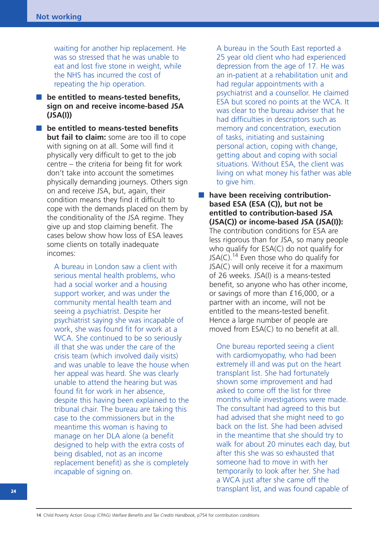waiting for another hip replacement. He was so stressed that he was unable to eat and lost five stone in weight, while the NHS has incurred the cost of repeating the hip operation.

■ **be entitled to means-tested benefits. sign on and receive income-based JSA (JSA(I))**

■ **be entitled to means-tested benefits but fail to claim:** some are too ill to cope with signing on at all. Some will find it physically very difficult to get to the job centre – the criteria for being fit for work don't take into account the sometimes physically demanding journeys. Others sign on and receive JSA, but, again, their condition means they find it difficult to cope with the demands placed on them by the conditionality of the JSA regime. They give up and stop claiming benefit. The cases below show how loss of ESA leaves some clients on totally inadequate incomes:

> A bureau in London saw a client with serious mental health problems, who had a social worker and a housing support worker, and was under the community mental health team and seeing a psychiatrist. Despite her psychiatrist saying she was incapable of work, she was found fit for work at a WCA. She continued to be so seriously ill that she was under the care of the crisis team (which involved daily visits) and was unable to leave the house when her appeal was heard. She was clearly unable to attend the hearing but was found fit for work in her absence, despite this having been explained to the tribunal chair. The bureau are taking this case to the commissioners but in the meantime this woman is having to manage on her DLA alone (a benefit designed to help with the extra costs of being disabled, not as an income replacement benefit) as she is completely incapable of signing on.

A bureau in the South East reported a 25 year old client who had experienced depression from the age of 17. He was an in-patient at a rehabilitation unit and had regular appointments with a psychiatrist and a counsellor. He claimed ESA but scored no points at the WCA. It was clear to the bureau adviser that he had difficulties in descriptors such as memory and concentration, execution of tasks, initiating and sustaining personal action, coping with change, getting about and coping with social situations. Without ESA, the client was living on what money his father was able to give him.

■ have been receiving contribution**based ESA (ESA (C)), but not be entitled to contribution-based JSA (JSA(C)) or income-based JSA (JSA(I)):** The contribution conditions for ESA are less rigorous than for JSA, so many people who qualify for ESA(C) do not qualify for JSA(C).<sup>14</sup> Even those who do qualify for JSA(C) will only receive it for a maximum of 26 weeks. JSA(I) is a means-tested benefit, so anyone who has other income, or savings of more than £16,000, or a partner with an income, will not be entitled to the means-tested benefit. Hence a large number of people are moved from ESA(C) to no benefit at all.

> One bureau reported seeing a client with cardiomyopathy, who had been extremely ill and was put on the heart transplant list. She had fortunately shown some improvement and had asked to come off the list for three months while investigations were made. The consultant had agreed to this but had advised that she might need to go back on the list. She had been advised in the meantime that she should try to walk for about 20 minutes each day, but after this she was so exhausted that someone had to move in with her temporarily to look after her. She had a WCA just after she came off the transplant list, and was found capable of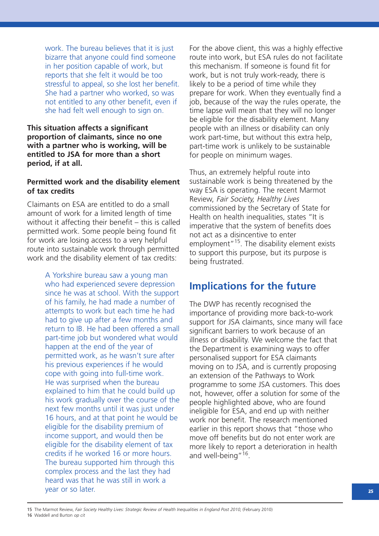work. The bureau believes that it is just bizarre that anyone could find someone in her position capable of work, but reports that she felt it would be too stressful to appeal, so she lost her benefit. She had a partner who worked, so was not entitled to any other benefit, even if she had felt well enough to sign on.

**This situation affects a significant proportion of claimants, since no one with a partner who is working, will be entitled to JSA for more than a short period, if at all.**

#### **Permitted work and the disability element of tax credits**

Claimants on ESA are entitled to do a small amount of work for a limited length of time without it affecting their benefit – this is called permitted work. Some people being found fit for work are losing access to a very helpful route into sustainable work through permitted work and the disability element of tax credits:

> A Yorkshire bureau saw a young man who had experienced severe depression since he was at school. With the support of his family, he had made a number of attempts to work but each time he had had to give up after a few months and return to IB. He had been offered a small part-time job but wondered what would happen at the end of the year of permitted work, as he wasn't sure after his previous experiences if he would cope with going into full-time work. He was surprised when the bureau explained to him that he could build up his work gradually over the course of the next few months until it was just under 16 hours, and at that point he would be eligible for the disability premium of income support, and would then be eligible for the disability element of tax credits if he worked 16 or more hours. The bureau supported him through this complex process and the last they had heard was that he was still in work a year or so later.

For the above client, this was a highly effective route into work, but ESA rules do not facilitate this mechanism. If someone is found fit for work, but is not truly work-ready, there is likely to be a period of time while they prepare for work. When they eventually find a job, because of the way the rules operate, the time lapse will mean that they will no longer be eligible for the disability element. Many people with an illness or disability can only work part-time, but without this extra help, part-time work is unlikely to be sustainable for people on minimum wages.

Thus, an extremely helpful route into sustainable work is being threatened by the way ESA is operating. The recent Marmot Review, Fair Society, Healthy Lives commissioned by the Secretary of State for Health on health inequalities, states "It is imperative that the system of benefits does not act as a disincentive to enter employment<sup>"15</sup>. The disability element exists to support this purpose, but its purpose is being frustrated.

### **Implications for the future**

The DWP has recently recognised the importance of providing more back-to-work support for JSA claimants, since many will face significant barriers to work because of an illness or disability. We welcome the fact that the Department is examining ways to offer personalised support for ESA claimants moving on to JSA, and is currently proposing an extension of the Pathways to Work programme to some JSA customers. This does not, however, offer a solution for some of the people highlighted above, who are found ineligible for ESA, and end up with neither work nor benefit. The research mentioned earlier in this report shows that "those who move off benefits but do not enter work are more likely to report a deterioration in health and well-being"<sup>16</sup>.

15 The Marmot Review, Fair Society Healthy Lives: Strategic Review of Health Inequalities in England Post 2010, (February 2010) 16 Waddell and Burton op cit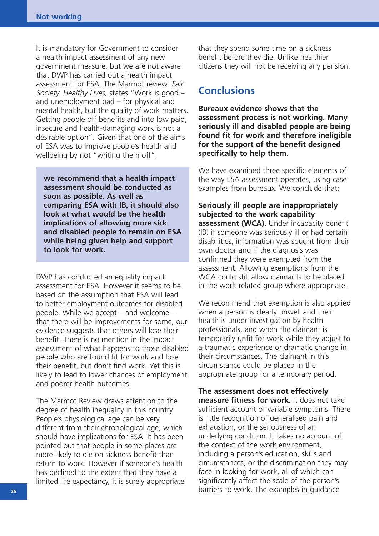It is mandatory for Government to consider a health impact assessment of any new government measure, but we are not aware that DWP has carried out a health impact assessment for ESA. The Marmot review, Fair Society, Healthy Lives, states "Work is good – and unemployment bad – for physical and mental health, but the quality of work matters. Getting people off benefits and into low paid, insecure and health-damaging work is not a desirable option". Given that one of the aims of ESA was to improve people's health and wellbeing by not "writing them off",

**we recommend that a health impact assessment should be conducted as soon as possible. As well as comparing ESA with IB, it should also look at what would be the health implications of allowing more sick and disabled people to remain on ESA while being given help and support to look for work.**

DWP has conducted an equality impact assessment for ESA. However it seems to be based on the assumption that ESA will lead to better employment outcomes for disabled people. While we accept – and welcome – that there will be improvements for some, our evidence suggests that others will lose their benefit. There is no mention in the impact assessment of what happens to those disabled people who are found fit for work and lose their benefit, but don't find work. Yet this is likely to lead to lower chances of employment and poorer health outcomes.

The Marmot Review draws attention to the degree of health inequality in this country. People's physiological age can be very different from their chronological age, which should have implications for ESA. It has been pointed out that people in some places are more likely to die on sickness benefit than return to work. However if someone's health has declined to the extent that they have a limited life expectancy, it is surely appropriate that they spend some time on a sickness benefit before they die. Unlike healthier citizens they will not be receiving any pension.

### **Conclusions**

**Bureaux evidence shows that the assessment process is not working. Many seriously ill and disabled people are being found fit for work and therefore ineligible for the support of the benefit designed specifically to help them.** 

We have examined three specific elements of the way ESA assessment operates, using case examples from bureaux. We conclude that:

#### **Seriously ill people are inappropriately subjected to the work capability**

**assessment (WCA).** Under incapacity benefit (IB) if someone was seriously ill or had certain disabilities, information was sought from their own doctor and if the diagnosis was confirmed they were exempted from the assessment. Allowing exemptions from the WCA could still allow claimants to be placed in the work-related group where appropriate.

We recommend that exemption is also applied when a person is clearly unwell and their health is under investigation by health professionals, and when the claimant is temporarily unfit for work while they adjust to a traumatic experience or dramatic change in their circumstances. The claimant in this circumstance could be placed in the appropriate group for a temporary period.

**The assessment does not effectively measure fitness for work.** It does not take sufficient account of variable symptoms. There is little recognition of generalised pain and exhaustion, or the seriousness of an underlying condition. It takes no account of the context of the work environment, including a person's education, skills and circumstances, or the discrimination they may face in looking for work, all of which can significantly affect the scale of the person's barriers to work. The examples in guidance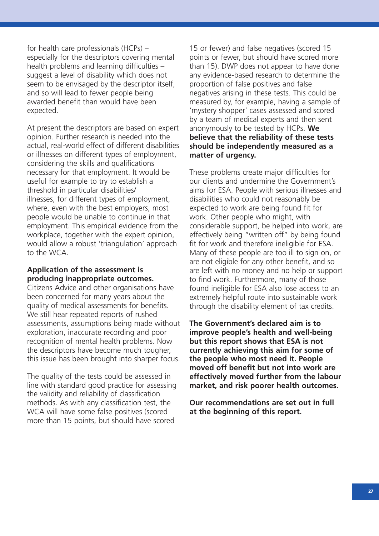for health care professionals (HCPs) – especially for the descriptors covering mental health problems and learning difficulties – suggest a level of disability which does not seem to be envisaged by the descriptor itself, and so will lead to fewer people being awarded benefit than would have been expected.

At present the descriptors are based on expert opinion. Further research is needed into the actual, real-world effect of different disabilities or illnesses on different types of employment, considering the skills and qualifications necessary for that employment. It would be useful for example to try to establish a threshold in particular disabilities/ illnesses, for different types of employment, where, even with the best employers, most people would be unable to continue in that employment. This empirical evidence from the workplace, together with the expert opinion, would allow a robust 'triangulation' approach to the WCA.

#### **Application of the assessment is producing inappropriate outcomes.**

Citizens Advice and other organisations have been concerned for many years about the quality of medical assessments for benefits. We still hear repeated reports of rushed assessments, assumptions being made without exploration, inaccurate recording and poor recognition of mental health problems. Now the descriptors have become much tougher, this issue has been brought into sharper focus.

The quality of the tests could be assessed in line with standard good practice for assessing the validity and reliability of classification methods. As with any classification test, the WCA will have some false positives (scored more than 15 points, but should have scored

15 or fewer) and false negatives (scored 15 points or fewer, but should have scored more than 15). DWP does not appear to have done any evidence-based research to determine the proportion of false positives and false negatives arising in these tests. This could be measured by, for example, having a sample of 'mystery shopper' cases assessed and scored by a team of medical experts and then sent anonymously to be tested by HCPs. **We believe that the reliability of these tests should be independently measured as a matter of urgency.**

These problems create major difficulties for our clients and undermine the Government's aims for ESA. People with serious illnesses and disabilities who could not reasonably be expected to work are being found fit for work. Other people who might, with considerable support, be helped into work, are effectively being "written off" by being found fit for work and therefore ineligible for ESA. Many of these people are too ill to sign on, or are not eligible for any other benefit, and so are left with no money and no help or support to find work. Furthermore, many of those found ineligible for ESA also lose access to an extremely helpful route into sustainable work through the disability element of tax credits.

**The Government's declared aim is to improve people's health and well-being but this report shows that ESA is not currently achieving this aim for some of the people who most need it. People moved off benefit but not into work are effectively moved further from the labour market, and risk poorer health outcomes.** 

**Our recommendations are set out in full at the beginning of this report.**